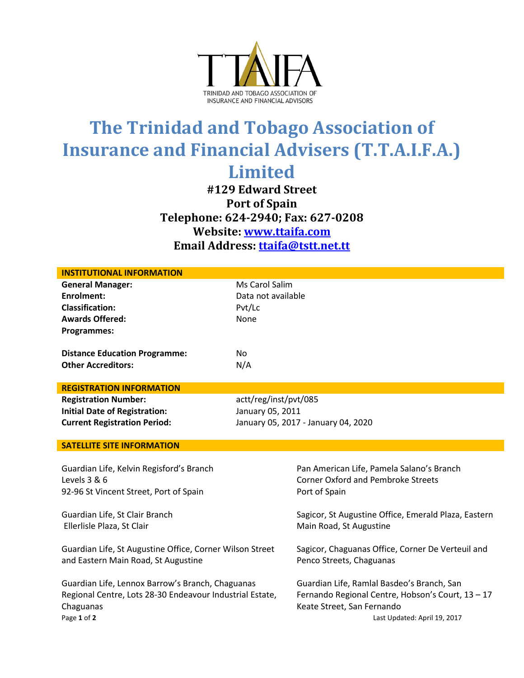

## **The Trinidad and Tobago Association of Insurance and Financial Advisers (T.T.A.I.F.A.) Limited**

**#129 Edward Street Port of Spain Telephone: 624-2940; Fax: 627-0208 Website: [www.ttaifa.com](http://www.ttaifa.com/) Email Address: [ttaifa@tstt.net.tt](mailto:ttaifa@tstt.net.tt)**

| <b>INSTITUTIONAL INFORMATION</b>                                                                             |                                     |                                                                                 |  |
|--------------------------------------------------------------------------------------------------------------|-------------------------------------|---------------------------------------------------------------------------------|--|
| <b>General Manager:</b>                                                                                      | Ms Carol Salim                      |                                                                                 |  |
| Enrolment:                                                                                                   | Data not available                  |                                                                                 |  |
| <b>Classification:</b>                                                                                       | Pvt/Lc                              |                                                                                 |  |
| <b>Awards Offered:</b>                                                                                       | None                                |                                                                                 |  |
| <b>Programmes:</b>                                                                                           |                                     |                                                                                 |  |
| <b>Distance Education Programme:</b>                                                                         | No                                  |                                                                                 |  |
| <b>Other Accreditors:</b>                                                                                    | N/A                                 |                                                                                 |  |
| <b>REGISTRATION INFORMATION</b>                                                                              |                                     |                                                                                 |  |
| <b>Registration Number:</b>                                                                                  | actt/reg/inst/pvt/085               |                                                                                 |  |
| <b>Initial Date of Registration:</b>                                                                         | January 05, 2011                    |                                                                                 |  |
| <b>Current Registration Period:</b>                                                                          | January 05, 2017 - January 04, 2020 |                                                                                 |  |
|                                                                                                              |                                     |                                                                                 |  |
| <b>SATELLITE SITE INFORMATION</b>                                                                            |                                     |                                                                                 |  |
|                                                                                                              |                                     |                                                                                 |  |
|                                                                                                              |                                     |                                                                                 |  |
| Guardian Life, Kelvin Regisford's Branch                                                                     |                                     | Pan American Life, Pamela Salano's Branch                                       |  |
| Levels 3 & 6                                                                                                 |                                     | <b>Corner Oxford and Pembroke Streets</b>                                       |  |
| 92-96 St Vincent Street, Port of Spain                                                                       |                                     | Port of Spain                                                                   |  |
| Guardian Life, St Clair Branch                                                                               |                                     | Sagicor, St Augustine Office, Emerald Plaza, Eastern                            |  |
| Ellerlisle Plaza, St Clair                                                                                   |                                     | Main Road, St Augustine                                                         |  |
|                                                                                                              |                                     |                                                                                 |  |
| Guardian Life, St Augustine Office, Corner Wilson Street                                                     |                                     | Sagicor, Chaguanas Office, Corner De Verteuil and                               |  |
| and Eastern Main Road, St Augustine                                                                          |                                     | Penco Streets, Chaguanas                                                        |  |
|                                                                                                              |                                     |                                                                                 |  |
| Guardian Life, Lennox Barrow's Branch, Chaguanas<br>Regional Centre, Lots 28-30 Endeavour Industrial Estate, |                                     | Guardian Life, Ramlal Basdeo's Branch, San                                      |  |
| Chaguanas                                                                                                    |                                     | Fernando Regional Centre, Hobson's Court, 13 - 17<br>Keate Street, San Fernando |  |
| Page 1 of 2                                                                                                  |                                     | Last Updated: April 19, 2017                                                    |  |